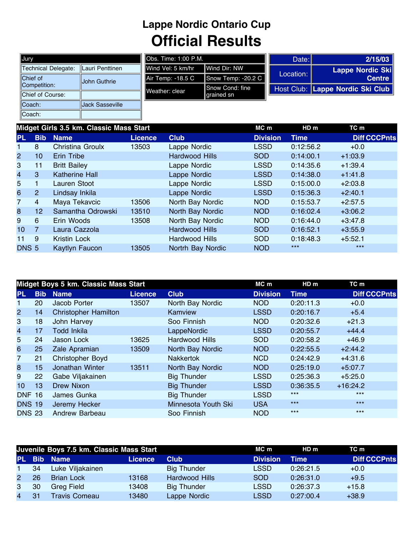## **Lappe Nordic Ontario Cup Official Results**

| Jury                     |                        |
|--------------------------|------------------------|
| Technical Delegate:      | Lauri Penttinen        |
| Chief of<br>Competition: | John Guthrie           |
| Chief of Course:         |                        |
| Coach:                   | <b>Jack Sasseville</b> |
| Coach:                   |                        |

|                    |                                | Date:                         | 2/15/03                          |
|--------------------|--------------------------------|-------------------------------|----------------------------------|
| ∎Wind Vel: 5 km/hr | Wind Dir: NW                   |                               | Lappe Nordic Ski                 |
| Air Temp: -18.5 C  | Snow Temp: -20.2 C             |                               | <b>Centre</b>                    |
| Weather: clear     | ∥Snow Cond: fine<br>grained sn |                               | Host Club: Lappe Nordic Ski Club |
|                    |                                |                               |                                  |
|                    |                                |                               |                                  |
|                    |                                | <b>I</b> Obs. Time: 1:00 P.M. | Location:                        |

|                  |                | Midget Girls 3.5 km. Classic Mass Start |                |                       | MC m            | HDm<br>TC m |                     |  |  |  |  |
|------------------|----------------|-----------------------------------------|----------------|-----------------------|-----------------|-------------|---------------------|--|--|--|--|
| <b>PL</b>        | <b>Bib</b>     | <b>Name</b>                             | <b>Licence</b> | <b>Club</b>           | <b>Division</b> | <b>Time</b> | <b>Diff CCCPnts</b> |  |  |  |  |
|                  | 8              | Christina Groulx                        | 13503          | Lappe Nordic          | <b>LSSD</b>     | 0:12:56.2   | $+0.0$              |  |  |  |  |
| $\overline{2}$   | 10             | Erin Tribe                              |                | <b>Hardwood Hills</b> | <b>SOD</b>      | 0:14:00.1   | $+1:03.9$           |  |  |  |  |
| 3                | 11             | <b>Britt Bailey</b>                     |                | Lappe Nordic          | <b>LSSD</b>     | 0:14:35.6   | $+1:39.4$           |  |  |  |  |
| $\overline{4}$   | 3              | Katherine Hall                          |                | Lappe Nordic          | <b>LSSD</b>     | 0:14:38.0   | $+1:41.8$           |  |  |  |  |
| 5                | 1              | Lauren Stoot                            |                | Lappe Nordic          | <b>LSSD</b>     | 0:15:00.0   | $+2:03.8$           |  |  |  |  |
| 6                | $\overline{2}$ | Lindsay Inkila                          |                | Lappe Nordic          | <b>LSSD</b>     | 0:15:36.3   | $+2:40.1$           |  |  |  |  |
| 7                | 4              | Maya Tekavcic                           | 13506          | North Bay Nordic      | <b>NOD</b>      | 0:15:53.7   | $+2:57.5$           |  |  |  |  |
| 8                | 12             | Samantha Odrowski                       | 13510          | North Bay Nordic      | <b>NOD</b>      | 0:16:02.4   | $+3:06.2$           |  |  |  |  |
| 9                | 6              | Erin Woods                              | 13508          | North Bay Nordic      | <b>NOD</b>      | 0:16:44.0   | $+3:47.8$           |  |  |  |  |
| 10 <sup>°</sup>  | 7              | Laura Cazzola                           |                | Hardwood Hills        | <b>SOD</b>      | 0:16:52.1   | $+3:55.9$           |  |  |  |  |
| 11               | 9              | Kristin Lock                            |                | Hardwood Hills        | SOD             | 0:18:48.3   | $+5:52.1$           |  |  |  |  |
| DNS <sub>5</sub> |                | Kaytlyn Faucon                          | 13505          | Nortrh Bay Nordic     | <b>NOD</b>      | $***$       | $***$               |  |  |  |  |

|                 |            | Midget Boys 5 km. Classic Mass Start |                |                     | MC m            | HD <sub>m</sub> | TC m                |
|-----------------|------------|--------------------------------------|----------------|---------------------|-----------------|-----------------|---------------------|
| <b>PL</b>       | <b>Bib</b> | <b>Name</b>                          | <b>Licence</b> | <b>Club</b>         | <b>Division</b> | <b>Time</b>     | <b>Diff CCCPnts</b> |
| 1               | 20         | Jacob Porter                         | 13507          | North Bay Nordic    | <b>NOD</b>      | 0:20:11.3       | $+0.0$              |
| $\overline{2}$  | 14         | <b>Christopher Hamilton</b>          |                | Kamview             | <b>LSSD</b>     | 0:20:16.7       | $+5.4$              |
| 3               | 18         | John Harvey                          |                | Soo Finnish         | <b>NOD</b>      | 0:20:32.6       | $+21.3$             |
| 4               | 17         | <b>Todd Inkila</b>                   |                | LappeNordic         | <b>LSSD</b>     | 0:20:55.7       | $+44.4$             |
| 5               | 24         | Jason Lock                           | 13625          | Hardwood Hills      | <b>SOD</b>      | 0:20:58.2       | $+46.9$             |
| 6               | 25         | Zale Apramian                        | 13509          | North Bay Nordic    | <b>NOD</b>      | 0:22:55.5       | $+2:44.2$           |
| 7               | 21         | <b>Christopher Boyd</b>              |                | <b>Nakkertok</b>    | <b>NCD</b>      | 0:24:42.9       | $+4:31.6$           |
| 8               | 15         | Jonathan Winter                      | 13511          | North Bay Nordic    | NOD             | 0:25:19.0       | $+5:07.7$           |
| 9               | 22         | Gabe Viljakainen                     |                | <b>Big Thunder</b>  | <b>LSSD</b>     | 0:25:36.3       | $+5:25.0$           |
| 10 <sup>°</sup> | 13         | <b>Drew Nixon</b>                    |                | <b>Big Thunder</b>  | <b>LSSD</b>     | 0:36:35.5       | $+16:24.2$          |
| <b>DNF 16</b>   |            | James Gunka                          |                | <b>Big Thunder</b>  | <b>LSSD</b>     | $***$           | $***$               |
| <b>DNS 19</b>   |            | Jeremy Hecker                        |                | Minnesota Youth Ski | <b>USA</b>      | $***$           | $***$               |
| <b>DNS 23</b>   |            | Andrew Barbeau                       |                | Soo Finnish         | <b>NOD</b>      | $***$           | $***$               |

|                |    | Juvenile Boys 7.5 km. Classic Mass Start |         |                       | MC m            | HDm         | TC m                |
|----------------|----|------------------------------------------|---------|-----------------------|-----------------|-------------|---------------------|
| <b>PL</b>      |    | <b>Bib Name</b>                          | Licence | <b>Club</b>           | <b>Division</b> | <b>Time</b> | <b>Diff CCCPnts</b> |
| $\blacksquare$ | 34 | Luke Viljakainen                         |         | <b>Big Thunder</b>    | LSSD            | 0:26:21.5   | $+0.0$              |
| $\mathbf{2}$   | 26 | <b>Brian Lock</b>                        | 13168   | <b>Hardwood Hills</b> | SOD.            | 0:26:31.0   | $+9.5$              |
| 3              | 30 | <b>Greg Field</b>                        | 13408   | <b>Big Thunder</b>    | LSSD            | 0:26:37.3   | $+15.8$             |
| $\overline{4}$ | 31 | <b>Travis Comeau</b>                     | 13480   | Lappe Nordic          | LSSD            | 0:27:00.4   | $+38.9$             |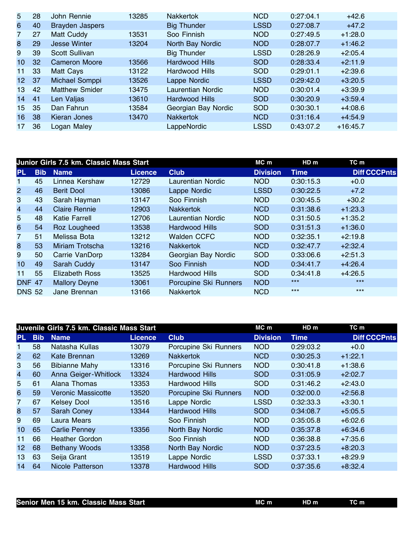| 5               | 28 | John Rennie            | 13285 | <b>Nakkertok</b>         | <b>NCD</b>  | 0:27:04.1 | $+42.6$    |
|-----------------|----|------------------------|-------|--------------------------|-------------|-----------|------------|
| 6               | 40 | <b>Brayden Jaspers</b> |       | <b>Big Thunder</b>       | <b>LSSD</b> | 0:27:08.7 | $+47.2$    |
| 7               | 27 | Matt Cuddy             | 13531 | Soo Finnish              | <b>NOD</b>  | 0:27:49.5 | $+1:28.0$  |
| 8               | 29 | <b>Jesse Winter</b>    | 13204 | North Bay Nordic         | <b>NOD</b>  | 0:28:07.7 | $+1:46.2$  |
| 9               | 39 | Scott Sullivan         |       | <b>Big Thunder</b>       | <b>LSSD</b> | 0:28:26.9 | $+2:05.4$  |
| 10 <sup>°</sup> | 32 | <b>Cameron Moore</b>   | 13566 | <b>Hardwood Hills</b>    | <b>SOD</b>  | 0:28:33.4 | $+2:11.9$  |
| 11              | 33 | Matt Cays              | 13122 | Hardwood Hills           | <b>SOD</b>  | 0:29:01.1 | $+2:39.6$  |
| 12 <sup>°</sup> | 37 | Michael Somppi         | 13526 | Lappe Nordic             | <b>LSSD</b> | 0:29:42.0 | $+3:20.5$  |
| 13              | 42 | <b>Matthew Smider</b>  | 13475 | <b>Laurentian Nordic</b> | <b>NOD</b>  | 0:30:01.4 | $+3:39.9$  |
| 14              | 41 | Len Valjas             | 13610 | Hardwood Hills           | <b>SOD</b>  | 0:30:20.9 | $+3:59.4$  |
| 15              | 35 | Dan Fahrun             | 13584 | Georgian Bay Nordic      | <b>SOD</b>  | 0:30:30.1 | $+4:08.6$  |
| 16              | 38 | Kieran Jones           | 13470 | <b>Nakkertok</b>         | <b>NCD</b>  | 0:31:16.4 | $+4:54.9$  |
| 17              | 36 | Logan Maley            |       | LappeNordic              | <b>LSSD</b> | 0:43:07.2 | $+16:45.7$ |

|                 |            | Junior Girls 7.5 km. Classic Mass Start |                |                          | MC m            | HD <sub>m</sub> | TC m                |
|-----------------|------------|-----------------------------------------|----------------|--------------------------|-----------------|-----------------|---------------------|
| <b>PL</b>       | <b>Bib</b> | <b>Name</b>                             | <b>Licence</b> | <b>Club</b>              | <b>Division</b> | <b>Time</b>     | <b>Diff CCCPnts</b> |
|                 | 45         | Linnea Kershaw                          | 12729          | <b>Laurentian Nordic</b> | <b>NOD</b>      | 0:30:15.3       | $+0.0$              |
| $\overline{2}$  | 46         | <b>Berit Dool</b>                       | 13086          | Lappe Nordic             | <b>LSSD</b>     | 0:30:22.5       | $+7.2$              |
| 3               | 43         | Sarah Hayman                            | 13147          | Soo Finnish              | <b>NOD</b>      | 0:30:45.5       | $+30.2$             |
| $\overline{4}$  | 44         | <b>Claire Rennie</b>                    | 12903          | <b>Nakkertok</b>         | <b>NCD</b>      | 0:31:38.6       | $+1:23.3$           |
| 5               | 48         | <b>Katie Farrell</b>                    | 12706          | Laurentian Nordic        | <b>NOD</b>      | 0:31:50.5       | $+1:35.2$           |
| 6               | 54         | Roz Lougheed                            | 13538          | <b>Hardwood Hills</b>    | <b>SOD</b>      | 0:31:51.3       | $+1:36.0$           |
| 7               | 51         | Melissa Bota                            | 13212          | <b>Walden CCFC</b>       | <b>NOD</b>      | 0:32:35.1       | $+2:19.8$           |
| 8               | 53         | Miriam Trotscha                         | 13216          | <b>Nakkertok</b>         | <b>NCD</b>      | 0:32:47.7       | $+2:32.4$           |
| 9               | 50         | Carrie VanDorp                          | 13284          | Georgian Bay Nordic      | <b>SOD</b>      | 0:33:06.6       | $+2:51.3$           |
| 10 <sup>1</sup> | 49         | Sarah Cuddy                             | 13147          | Soo Finnish              | <b>NOD</b>      | 0:34:41.7       | $+4:26.4$           |
| 11              | 55         | <b>Elizabeth Ross</b>                   | 13525          | Hardwood Hills           | <b>SOD</b>      | 0:34:41.8       | $+4:26.5$           |
| <b>DNF 47</b>   |            | <b>Mallory Deyne</b>                    | 13061          | Porcupine Ski Runners    | <b>NOD</b>      | $***$           | $***$               |
| <b>DNS 52</b>   |            | Jane Brennan                            | 13166          | <b>Nakkertok</b>         | <b>NCD</b>      | $***$           | $***$               |

|                 |            | Juvenile Girls 7.5 km. Classic Mass Start |                |                       | MC m            | HDm         | TC m                |
|-----------------|------------|-------------------------------------------|----------------|-----------------------|-----------------|-------------|---------------------|
| PL.             | <b>Bib</b> | <b>Name</b>                               | <b>Licence</b> | <b>Club</b>           | <b>Division</b> | <b>Time</b> | <b>Diff CCCPnts</b> |
| 1               | 58         | Natasha Kullas                            | 13079          | Porcupine Ski Runners | <b>NOD</b>      | 0:29:03.2   | $+0.0$              |
| $\overline{2}$  | 62         | Kate Brennan                              | 13269          | <b>Nakkertok</b>      | <b>NCD</b>      | 0:30:25.3   | $+1:22.1$           |
| 3               | 56         | <b>Bibianne Mahy</b>                      | 13316          | Porcupine Ski Runners | <b>NOD</b>      | 0:30:41.8   | $+1:38.6$           |
| $\overline{4}$  | 60         | Anna Geiger-Whitlock                      | 13324          | <b>Hardwood Hills</b> | <b>SOD</b>      | 0:31:05.9   | $+2:02.7$           |
| 5               | 61         | Alana Thomas                              | 13353          | Hardwood Hills        | <b>SOD</b>      | 0:31:46.2   | $+2:43.0$           |
| 6               | 59         | <b>Veronic Massicotte</b>                 | 13520          | Porcupine Ski Runners | <b>NOD</b>      | 0:32:00.0   | $+2:56.8$           |
| $\overline{7}$  | 67         | <b>Kelsey Dool</b>                        | 13516          | Lappe Nordic          | <b>LSSD</b>     | 0:32:33.3   | $+3:30.1$           |
| 8               | 57         | <b>Sarah Coney</b>                        | 13344          | <b>Hardwood Hills</b> | <b>SOD</b>      | 0:34:08.7   | $+5:05.5$           |
| 9               | 69         | Laura Mears                               |                | Soo Finnish           | <b>NOD</b>      | 0:35:05.8   | $+6:02.6$           |
| 10              | 65         | <b>Carlie Penney</b>                      | 13356          | North Bay Nordic      | <b>NOD</b>      | 0:35:37.8   | $+6:34.6$           |
| 11              | 66         | <b>Heather Gordon</b>                     |                | Soo Finnish           | <b>NOD</b>      | 0:36:38.8   | $+7:35.6$           |
| 12 <sub>2</sub> | 68         | <b>Bethany Woods</b>                      | 13358          | North Bay Nordic      | <b>NOD</b>      | 0:37:23.5   | $+8:20.3$           |
| 13              | 63         | Seija Grant                               | 13519          | Lappe Nordic          | <b>LSSD</b>     | 0:37:33.1   | $+8:29.9$           |
| 14              | 64         | Nicole Patterson                          | 13378          | <b>Hardwood Hills</b> | <b>SOD</b>      | 0:37:35.6   | $+8:32.4$           |

| MC m<br>HD m<br>TC m<br>Senior Men 15 km. Classic Mass Start |
|--------------------------------------------------------------|
|--------------------------------------------------------------|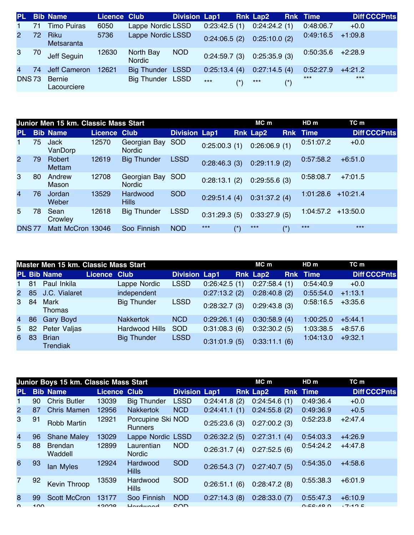| <b>PL</b>      |     | <b>Bib Name</b>              | Licence Club |                            | <b>Division Lap1</b> |              |       | <b>Rnk Lap2</b> |       | <b>Rnk Time</b>     | <b>Diff CCCPnts</b> |
|----------------|-----|------------------------------|--------------|----------------------------|----------------------|--------------|-------|-----------------|-------|---------------------|---------------------|
| $\mathbf{1}$   | 71  | <b>Timo Puiras</b>           | 6050         | Lappe Nordic LSSD          |                      | 0:23:42.5(1) |       | 0:24:24.2(1)    |       | 0:48:06.7           | $+0.0$              |
| $\overline{2}$ | 72. | Riku<br>Metsaranta           | 5736         | Lappe Nordic LSSD          |                      | 0:24:06.5(2) |       | 0:25:10.0(2)    |       | 0:49:16.5           | $+1:09.8$           |
| 3              | 70  | Jeff Seguin                  | 12630        | North Bay<br><b>Nordic</b> | <b>NOD</b>           | 0:24:59.7(3) |       | 0:25:35.9(3)    |       | $0:50:35.6$ +2:28.9 |                     |
| $\overline{4}$ | 74  | Jeff Cameron                 | 12621        | <b>Big Thunder LSSD</b>    |                      | 0:25:13.4(4) |       | 0:27:14.5(4)    |       | 0:52:27.9           | $+4:21.2$           |
| <b>DNS73</b>   |     | <b>Bernie</b><br>Lacourciere |              | <b>Big Thunder LSSD</b>    |                      | $***$        | $(*)$ | $***$           | $(*)$ | ***                 | $***$               |

|                |    | Junior Men 15 km. Classic Mass Start |                     |                                   | $MC$ m               |              | HD m             | TC m            |                        |                      |                     |
|----------------|----|--------------------------------------|---------------------|-----------------------------------|----------------------|--------------|------------------|-----------------|------------------------|----------------------|---------------------|
| PL             |    | <b>Bib Name</b>                      | <b>Licence Club</b> |                                   | <b>Division Lap1</b> |              |                  | <b>Rnk Lap2</b> |                        | <b>Rnk</b> Time      | <b>Diff CCCPnts</b> |
| 1.             | 75 | Jack<br>VanDorp                      | 12570               | Georgian Bay SOD<br><b>Nordic</b> |                      | 0:25:00.3(1) |                  | 0:26:06.9(1)    |                        | 0:51:07.2            | $+0.0$              |
| 2              | 79 | Robert<br>Mettam                     | 12619               | <b>Big Thunder</b>                | <b>LSSD</b>          | 0:28:46.3(3) |                  | 0:29:11.9(2)    |                        | 0:57:58.2            | $+6:51.0$           |
| 3              | 80 | Andrew<br>Mason                      | 12708               | Georgian Bay SOD<br><b>Nordic</b> |                      | 0:28:13.1(2) |                  | 0:29:55.6(3)    |                        | 0:58:08.7            | $+7:01.5$           |
| $\overline{4}$ | 76 | Jordan<br>Weber                      | 13529               | Hardwood<br><b>Hills</b>          | <b>SOD</b>           | 0:29:51.4(4) |                  | 0:31:37.2(4)    |                        | 1:01:28.6            | $+10:21.4$          |
| 5.             | 78 | Sean<br>Crowley                      | 12618               | <b>Big Thunder</b>                | <b>LSSD</b>          | 0:31:29.3(5) |                  | 0:33:27.9(5)    |                        | $1:04:57.2$ +13:50.0 |                     |
| <b>DNS77</b>   |    | Matt McCron 13046                    |                     | Soo Finnish                       | <b>NOD</b>           | $***$        | $^{\prime\star}$ | $***$           | $\left( \star \right)$ | $***$                | $***$               |

| Master Men 15 km. Classic Mass Start<br>MC m<br>HDm |      |                                 |                     |                    |                      |              |  |                 |  |                 | TC m                |
|-----------------------------------------------------|------|---------------------------------|---------------------|--------------------|----------------------|--------------|--|-----------------|--|-----------------|---------------------|
|                                                     |      | PL Bib Name                     | <b>Licence Club</b> |                    | <b>Division Lap1</b> |              |  | <b>Rnk Lap2</b> |  | <b>Rnk Time</b> | <b>Diff CCCPnts</b> |
| 1 81                                                |      | Paul Inkila                     |                     | Lappe Nordic       | <b>LSSD</b>          | 0:26:42.5(1) |  | 0:27:58.4(1)    |  | 0:54:40.9       | $+0.0$              |
|                                                     |      | 2 85 J.C. Vialaret              |                     | independent        |                      | 0:27:13.2(2) |  | 0:28:40.8(2)    |  | 0:55:54.0       | $+1:13.1$           |
|                                                     | 3 84 | Mark<br>Thomas                  |                     | <b>Big Thunder</b> | <b>LSSD</b>          | 0:28:32.7(3) |  | 0:29:43.8(3)    |  | 0:58:16.5       | $+3:35.6$           |
|                                                     | 4 86 | Gary Boyd                       |                     | <b>Nakkertok</b>   | <b>NCD</b>           | 0:29:26.1(4) |  | 0:30:58.9(4)    |  | 1:00:25.0       | $+5:44.1$           |
|                                                     |      | 5 82 Peter Valjas               |                     | Hardwood Hills     | <b>SOD</b>           | 0:31:08.3(6) |  | 0:32:30.2(5)    |  | 1:03:38.5       | $+8:57.6$           |
| 6                                                   | 83   | <b>Brian</b><br><b>Trendiak</b> |                     | <b>Big Thunder</b> | <b>LSSD</b>          | 0:31:01.9(5) |  | 0:33:11.1(6)    |  | 1:04:13.0       | $+9:32.1$           |

|                |     | Junior Boys 15 km. Classic Mass Start |                     |                                     | $MC$ m               | HD <sub>m</sub> | TC m            |                 |                     |
|----------------|-----|---------------------------------------|---------------------|-------------------------------------|----------------------|-----------------|-----------------|-----------------|---------------------|
| PL             |     | <b>Bib Name</b>                       | <b>Licence Club</b> |                                     | <b>Division Lap1</b> |                 | <b>Rnk Lap2</b> | <b>Rnk Time</b> | <b>Diff CCCPnts</b> |
|                | 90  | <b>Chris Butler</b>                   | 13039               | <b>Big Thunder</b>                  | <b>LSSD</b>          | 0:24:41.8(2)    | 0:24:54.6(1)    | 0:49:36.4       | $+0.0$              |
| $\overline{2}$ | 87  | <b>Chris Mamen</b>                    | 12956               | <b>Nakkertok</b>                    | <b>NCD</b>           | 0:24:41.1(1)    | 0:24:55.8(2)    | 0:49:36.9       | $+0.5$              |
| 3              | 91  | Robb Martin                           | 12921               | Porcupine Ski NOD<br><b>Runners</b> |                      | 0:25:23.6(3)    | 0:27:00.2(3)    | 0:52:23.8       | $+2:47.4$           |
| $\overline{4}$ | 96  | <b>Shane Maley</b>                    | 13029               | Lappe Nordic LSSD                   |                      | 0:26:32.2(5)    | 0:27:31.1(4)    | 0:54:03.3       | $+4:26.9$           |
| 5              | 88  | <b>Brendan</b><br>Waddell             | 12899               | Laurentian<br><b>Nordic</b>         | <b>NOD</b>           | 0:26:31.7(4)    | 0:27:52.5(6)    | 0:54:24.2       | $+4:47.8$           |
| 6              | 93  | lan Myles                             | 12924               | Hardwood<br><b>Hills</b>            | <b>SOD</b>           | 0:26:54.3(7)    | 0:27:40.7(5)    | 0:54:35.0       | $+4:58.6$           |
| 7              | 92  | <b>Kevin Throop</b>                   | 13539               | Hardwood<br><b>Hills</b>            | <b>SOD</b>           | 0:26:51.1(6)    | 0:28:47.2(8)    | 0:55:38.3       | $+6:01.9$           |
| 8              | 99  | <b>Scott McCron</b>                   | 13177               | Soo Finnish                         | <b>NOD</b>           | 0:27:14.3(8)    | 0:28:33.0(7)    | 0:55:47.3       | $+6:10.9$           |
| $\Omega$       | 100 |                                       | 10000               | $H$ ordwood                         | $c \cap D$           |                 |                 | 0.56.400        | .7.40E              |